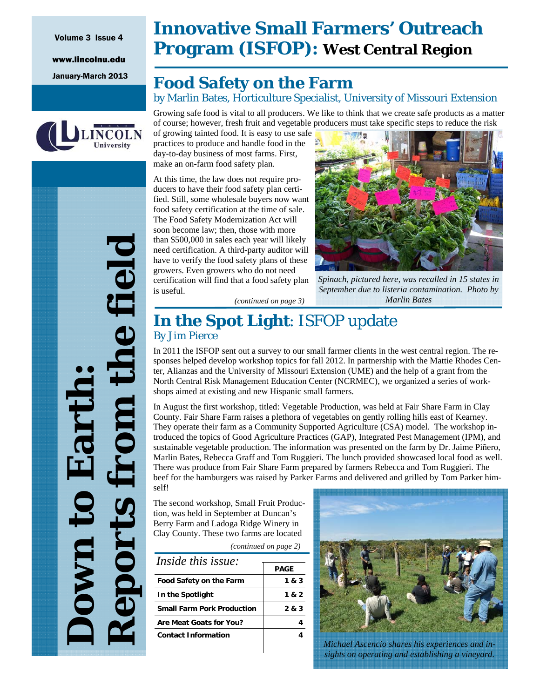## Volume 3 Issue 4

www.lincolnu.edu



# **Innovative Small Farmers' Outreach Program (ISFOP): West Central Region**

## January-March 2013 **Food Safety on the Farm**  by Marlin Bates, Horticulture Specialist, University of Missouri Extension

Growing safe food is vital to all producers. We like to think that we create safe products as a matter of course; however, fresh fruit and vegetable producers must take specific steps to reduce the risk

of growing tainted food. It is easy to use safe practices to produce and handle food in the day-to-day business of most farms. First, make an on-farm food safety plan.

At this time, the law does not require producers to have their food safety plan certified. Still, some wholesale buyers now want food safety certification at the time of sale. The Food Safety Modernization Act will soon become law; then, those with more than \$500,000 in sales each year will likely need certification. A third-party auditor will have to verify the food safety plans of these growers. Even growers who do not need certification will find that a food safety plan is useful. *(continued on page 3)* 



*Spinach, pictured here, was recalled in 15 states in September due to listeria contamination. Photo by Marlin Bates* 

## **In the Spot Light**: ISFOP update By Jim Pierce

In 2011 the ISFOP sent out a survey to our small farmer clients in the west central region. The responses helped develop workshop topics for fall 2012. In partnership with the Mattie Rhodes Center, Alianzas and the University of Missouri Extension (UME) and the help of a grant from the North Central Risk Management Education Center (NCRMEC), we organized a series of workshops aimed at existing and new Hispanic small farmers.

In August the first workshop, titled: Vegetable Production, was held at Fair Share Farm in Clay County. Fair Share Farm raises a plethora of vegetables on gently rolling hills east of Kearney. They operate their farm as a Community Supported Agriculture (CSA) model. The workshop introduced the topics of Good Agriculture Practices (GAP), Integrated Pest Management (IPM), and sustainable vegetable production. The information was presented on the farm by Dr. Jaime Piñero, Marlin Bates, Rebecca Graff and Tom Ruggieri. The lunch provided showcased local food as well. There was produce from Fair Share Farm prepared by farmers Rebecca and Tom Ruggieri. The beef for the hamburgers was raised by Parker Farms and delivered and grilled by Tom Parker himself!

The second workshop, Small Fruit Production, was held in September at Duncan's Berry Farm and Ladoga Ridge Winery in Clay County. These two farms are located

*(continued on page 2)* 

| <i>Inside this issue:</i>         |       |
|-----------------------------------|-------|
|                                   | PAGE  |
| <b>Food Safety on the Farm</b>    | 1 & 3 |
| In the Spotlight                  | 1 & 2 |
| <b>Small Farm Pork Production</b> | 283   |
| Are Meat Goats for You?           |       |
| <b>Contact Information</b>        |       |
|                                   |       |



*Michael Ascencio shares his experiences and insights on operating and establishing a vineyard.* 

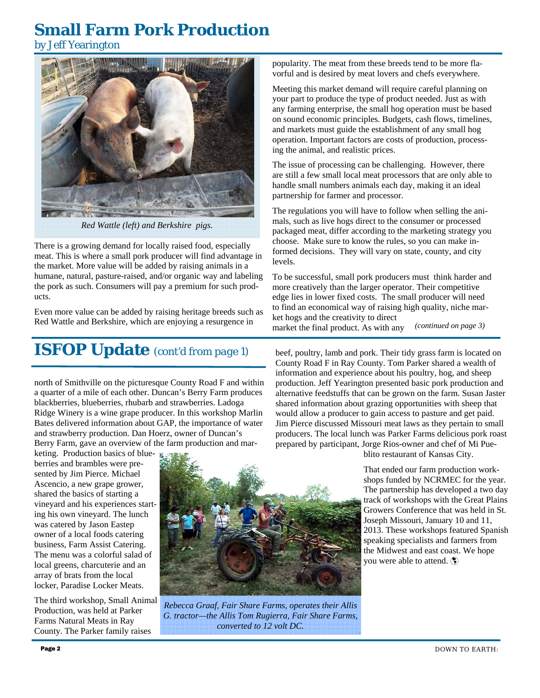## **Small Farm Pork Production**

by Jeff Yearington



*Red Wattle (left) and Berkshire pigs.* 

There is a growing demand for locally raised food, especially meat. This is where a small pork producer will find advantage in the market. More value will be added by raising animals in a humane, natural, pasture-raised, and/or organic way and labeling the pork as such. Consumers will pay a premium for such products.

Even more value can be added by raising heritage breeds such as Red Wattle and Berkshire, which are enjoying a resurgence in

# **ISFOP Update** *(cont'd from page 1)*

north of Smithville on the picturesque County Road F and within a quarter of a mile of each other. Duncan's Berry Farm produces blackberries, blueberries, rhubarb and strawberries. Ladoga Ridge Winery is a wine grape producer. In this workshop Marlin Bates delivered information about GAP, the importance of water and strawberry production. Dan Hoerz, owner of Duncan's Berry Farm, gave an overview of the farm production and mar-

keting. Production basics of blueberries and brambles were presented by Jim Pierce. Michael Ascencio, a new grape grower, shared the basics of starting a vineyard and his experiences starting his own vineyard. The lunch was catered by Jason Eastep owner of a local foods catering business, Farm Assist Catering. The menu was a colorful salad of local greens, charcuterie and an array of brats from the local locker, Paradise Locker Meats.

The third workshop, Small Animal Production, was held at Parker Farms Natural Meats in Ray County. The Parker family raises



*Rebecca Graaf, Fair Share Farms, operates their Allis G. tractor—the Allis Tom Rugierra, Fair Share Farms, converted to 12 volt DC.* 

popularity. The meat from these breeds tend to be more flavorful and is desired by meat lovers and chefs everywhere.

Meeting this market demand will require careful planning on your part to produce the type of product needed. Just as with any farming enterprise, the small hog operation must be based on sound economic principles. Budgets, cash flows, timelines, and markets must guide the establishment of any small hog operation. Important factors are costs of production, processing the animal, and realistic prices.

The issue of processing can be challenging. However, there are still a few small local meat processors that are only able to handle small numbers animals each day, making it an ideal partnership for farmer and processor.

The regulations you will have to follow when selling the animals, such as live hogs direct to the consumer or processed packaged meat, differ according to the marketing strategy you choose. Make sure to know the rules, so you can make informed decisions. They will vary on state, county, and city levels.

To be successful, small pork producers must think harder and more creatively than the larger operator. Their competitive edge lies in lower fixed costs. The small producer will need to find an economical way of raising high quality, niche market hogs and the creativity to direct market the final product. As with any *(continued on page 3)* 

beef, poultry, lamb and pork. Their tidy grass farm is located on County Road F in Ray County. Tom Parker shared a wealth of information and experience about his poultry, hog, and sheep production. Jeff Yearington presented basic pork production and alternative feedstuffs that can be grown on the farm. Susan Jaster shared information about grazing opportunities with sheep that would allow a producer to gain access to pasture and get paid. Jim Pierce discussed Missouri meat laws as they pertain to small producers. The local lunch was Parker Farms delicious pork roast prepared by participant, Jorge Rios-owner and chef of Mi Pue-

blito restaurant of Kansas City.

That ended our farm production workshops funded by NCRMEC for the year. The partnership has developed a two day track of workshops with the Great Plains Growers Conference that was held in St. Joseph Missouri, January 10 and 11, 2013. These workshops featured Spanish speaking specialists and farmers from the Midwest and east coast. We hope you were able to attend.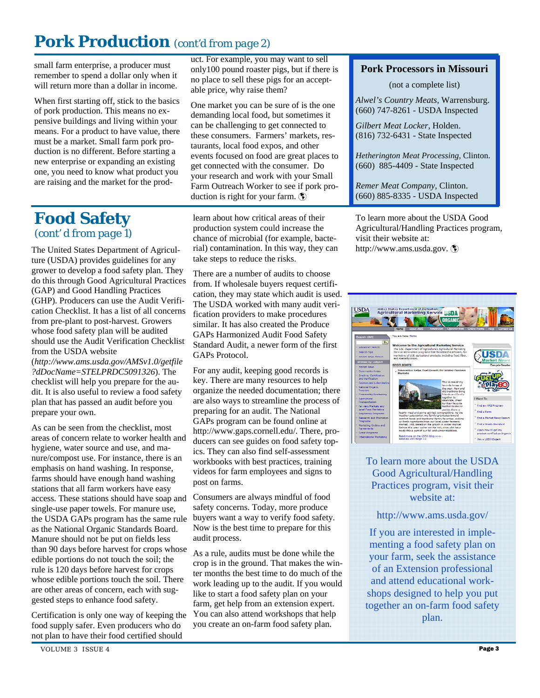# **Pork Production** *(cont'd from page 2)*

small farm enterprise, a producer must remember to spend a dollar only when it will return more than a dollar in income.

When first starting off, stick to the basics of pork production. This means no expensive buildings and living within your means. For a product to have value, there must be a market. Small farm pork production is no different. Before starting a new enterprise or expanding an existing one, you need to know what product you are raising and the market for the product. For example, you may want to sell only100 pound roaster pigs, but if there is no place to sell these pigs for an acceptable price, why raise them?

One market you can be sure of is the one demanding local food, but sometimes it can be challenging to get connected to these consumers. Farmers' markets, restaurants, local food expos, and other events focused on food are great places to get connected with the consumer. Do your research and work with your Small Farm Outreach Worker to see if pork production is right for your farm.

## **Food Safety**  *(cont' d from page 1)*

The United States Department of Agriculture (USDA) provides guidelines for any grower to develop a food safety plan. They do this through Good Agricultural Practices (GAP) and Good Handling Practices (GHP). Producers can use the Audit Verification Checklist. It has a list of all concerns from pre-plant to post-harvest. Growers whose food safety plan will be audited should use the Audit Verification Checklist from the USDA website (*http://www.ams.usda.gov/AMSv1.0/getfile ?dDocName=STELPRDC5091326*). The

checklist will help you prepare for the audit. It is also useful to review a food safety plan that has passed an audit before you prepare your own.

As can be seen from the checklist, most areas of concern relate to worker health and hygiene, water source and use, and manure/compost use. For instance, there is an emphasis on hand washing. In response, farms should have enough hand washing stations that all farm workers have easy access. These stations should have soap and single-use paper towels. For manure use, the USDA GAPs program has the same rule as the National Organic Standards Board. Manure should not be put on fields less than 90 days before harvest for crops whose edible portions do not touch the soil; the rule is 120 days before harvest for crops whose edible portions touch the soil. There are other areas of concern, each with suggested steps to enhance food safety.

Certification is only one way of keeping the food supply safer. Even producers who do not plan to have their food certified should

learn about how critical areas of their production system could increase the chance of microbial (for example, bacterial) contamination. In this way, they can take steps to reduce the risks.

There are a number of audits to choose from. If wholesale buyers request certification, they may state which audit is used. The USDA worked with many audit verification providers to make procedures similar. It has also created the Produce GAPs Harmonized Audit Food Safety Standard Audit, a newer form of the first GAPs Protocol.

For any audit, keeping good records is key. There are many resources to help organize the needed documentation; there are also ways to streamline the process of preparing for an audit. The National GAPs program can be found online at http://www.gaps.cornell.edu/. There, producers can see guides on food safety topics. They can also find self-assessment workbooks with best practices, training videos for farm employees and signs to post on farms.

Consumers are always mindful of food safety concerns. Today, more produce buyers want a way to verify food safety. Now is the best time to prepare for this audit process.

As a rule, audits must be done while the crop is in the ground. That makes the winter months the best time to do much of the work leading up to the audit. If you would like to start a food safety plan on your farm, get help from an extension expert. You can also attend workshops that help you create an on-farm food safety plan.

#### **Pork Processors in Missouri**

(not a complete list)

*Alwel's Country Meats*, Warrensburg. (660) 747-8261 - USDA Inspected

*Gilbert Meat Locker*, Holden. (816) 732-6431 - State Inspected

*Hetherington Meat Processing,* Clinton. (660) 885-4409 - State Inspected

*Remer Meat Company*, Clinton. (660) 885-8335 - USDA Inspected

To learn more about the USDA Good Agricultural/Handling Practices program, visit their website at: http://www.ams.usda.gov.



#### To learn more about the USDA Good Agricultural/Handling Practices program, visit their website at:

http://www.ams.usda.gov/

If you are interested in implementing a food safety plan on your farm, seek the assistance of an Extension professional and attend educational workshops designed to help you put together an on-farm food safety plan.